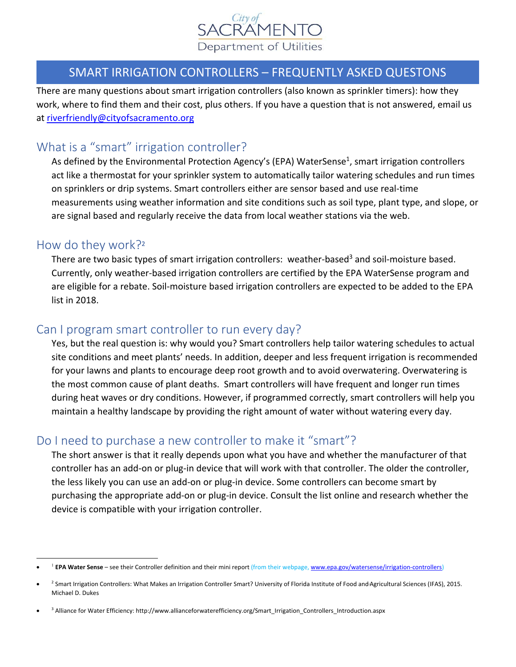

### SMART IRRIGATION CONTROLLERS – FREQUENTLY ASKED QUESTONS

There are many questions about smart irrigation controllers (also known as sprinkler timers): how they work, where to find them and their cost, plus others. If you have a question that is not answered, email us at riverfriendly@cityofsacramento.org

# What is a "smart" irrigation controller?

As defined by the Environmental Protection Agency's (EPA) WaterSense<sup>1</sup>, smart irrigation controllers act like a thermostat for your sprinkler system to automatically tailor watering schedules and run times on sprinklers or drip systems. Smart controllers either are sensor based and use real‐time measurements using weather information and site conditions such as soil type, plant type, and slope, or are signal based and regularly receive the data from local weather stations via the web.

#### How do they work?2

There are two basic types of smart irrigation controllers: weather-based<sup>3</sup> and soil-moisture based. Currently, only weather‐based irrigation controllers are certified by the EPA WaterSense program and are eligible for a rebate. Soil‐moisture based irrigation controllers are expected to be added to the EPA list in 2018.

#### Can I program smart controller to run every day?

Yes, but the real question is: why would you? Smart controllers help tailor watering schedules to actual site conditions and meet plants' needs. In addition, deeper and less frequent irrigation is recommended for your lawns and plants to encourage deep root growth and to avoid overwatering. Overwatering is the most common cause of plant deaths. Smart controllers will have frequent and longer run times during heat waves or dry conditions. However, if programmed correctly, smart controllers will help you maintain a healthy landscape by providing the right amount of water without watering every day.

# Do I need to purchase a new controller to make it "smart"?

The short answer is that it really depends upon what you have and whether the manufacturer of that controller has an add‐on or plug‐in device that will work with that controller. The older the controller, the less likely you can use an add‐on or plug‐in device. Some controllers can become smart by purchasing the appropriate add-on or plug-in device. Consult the list online and research whether the device is compatible with your irrigation controller.

<sup>1</sup> **EPA Water Sense** – see their Controller definition and their mini report (from their webpage, www.epa.gov/watersense/irrigation‐controllers)

<sup>&</sup>lt;sup>2</sup> Smart Irrigation Controllers: What Makes an Irrigation Controller Smart? University of Florida Institute of Food and Agricultural Sciences (IFAS), 2015. Michael D. Dukes

<sup>• &</sup>lt;sup>3</sup> Alliance for Water Efficiency: http://www.allianceforwaterefficiency.org/Smart\_Irrigation\_Controllers\_Introduction.aspx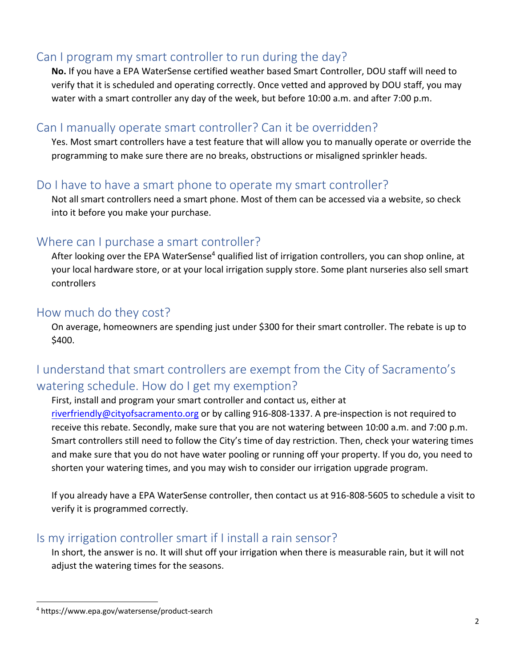# Can I program my smart controller to run during the day?

**No.** If you have a EPA WaterSense certified weather based Smart Controller, DOU staff will need to verify that it is scheduled and operating correctly. Once vetted and approved by DOU staff, you may water with a smart controller any day of the week, but before 10:00 a.m. and after 7:00 p.m.

# Can I manually operate smart controller? Can it be overridden?

Yes. Most smart controllers have a test feature that will allow you to manually operate or override the programming to make sure there are no breaks, obstructions or misaligned sprinkler heads.

# Do I have to have a smart phone to operate my smart controller?

Not all smart controllers need a smart phone. Most of them can be accessed via a website, so check into it before you make your purchase.

# Where can I purchase a smart controller?

After looking over the EPA WaterSense<sup>4</sup> qualified list of irrigation controllers, you can shop online, at your local hardware store, or at your local irrigation supply store. Some plant nurseries also sell smart controllers

### How much do they cost?

On average, homeowners are spending just under \$300 for their smart controller. The rebate is up to \$400.

# I understand that smart controllers are exempt from the City of Sacramento's watering schedule. How do I get my exemption?

First, install and program your smart controller and contact us, either at riverfriendly@cityofsacramento.org or by calling 916‐808‐1337. A pre‐inspection is not required to receive this rebate. Secondly, make sure that you are not watering between 10:00 a.m. and 7:00 p.m. Smart controllers still need to follow the City's time of day restriction. Then, check your watering times and make sure that you do not have water pooling or running off your property. If you do, you need to shorten your watering times, and you may wish to consider our irrigation upgrade program.

If you already have a EPA WaterSense controller, then contact us at 916‐808‐5605 to schedule a visit to verify it is programmed correctly.

# Is my irrigation controller smart if I install a rain sensor?

In short, the answer is no. It will shut off your irrigation when there is measurable rain, but it will not adjust the watering times for the seasons.

<sup>4</sup> https://www.epa.gov/watersense/product‐search